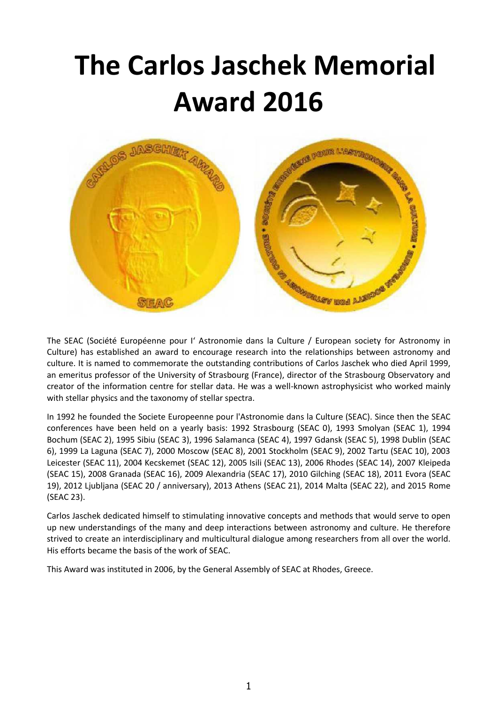# **The Carlos Jaschek Memorial Award 2016**



The SEAC (Société Européenne pour I' Astronomie dans la Culture / European society for Astronomy in Culture) has established an award to encourage research into the relationships between astronomy and culture. It is named to commemorate the outstanding contributions of Carlos Jaschek who died April 1999, an emeritus professor of the University of Strasbourg (France), director of the Strasbourg Observatory and creator of the information centre for stellar data. He was a well-known astrophysicist who worked mainly with stellar physics and the taxonomy of stellar spectra.

In 1992 he founded the Societe Europeenne pour l'Astronomie dans la Culture (SEAC). Since then the SEAC conferences have been held on a yearly basis: 1992 Strasbourg (SEAC 0), 1993 Smolyan (SEAC 1), 1994 Bochum (SEAC 2), 1995 Sibiu (SEAC 3), 1996 Salamanca (SEAC 4), 1997 Gdansk (SEAC 5), 1998 Dublin (SEAC 6), 1999 La Laguna (SEAC 7), 2000 Moscow (SEAC 8), 2001 Stockholm (SEAC 9), 2002 Tartu (SEAC 10), 2003 Leicester (SEAC 11), 2004 Kecskemet (SEAC 12), 2005 Isili (SEAC 13), 2006 Rhodes (SEAC 14), 2007 Kleipeda (SEAC 15), 2008 Granada (SEAC 16), 2009 Alexandria (SEAC 17), 2010 Gilching (SEAC 18), 2011 Evora (SEAC 19), 2012 Ljubljana (SEAC 20 / anniversary), 2013 Athens (SEAC 21), 2014 Malta (SEAC 22), and 2015 Rome (SEAC 23).

Carlos Jaschek dedicated himself to stimulating innovative concepts and methods that would serve to open up new understandings of the many and deep interactions between astronomy and culture. He therefore strived to create an interdisciplinary and multicultural dialogue among researchers from all over the world. His efforts became the basis of the work of SEAC.

This Award was instituted in 2006, by the General Assembly of SEAC at Rhodes, Greece.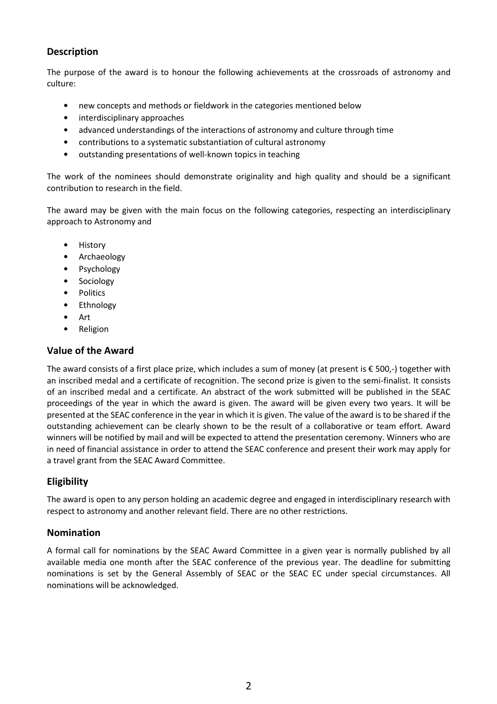# **Description**

The purpose of the award is to honour the following achievements at the crossroads of astronomy and culture:

- new concepts and methods or fieldwork in the categories mentioned below
- interdisciplinary approaches
- advanced understandings of the interactions of astronomy and culture through time
- contributions to a systematic substantiation of cultural astronomy
- outstanding presentations of well-known topics in teaching

The work of the nominees should demonstrate originality and high quality and should be a significant contribution to research in the field.

The award may be given with the main focus on the following categories, respecting an interdisciplinary approach to Astronomy and

- History
- Archaeology
- Psychology
- Sociology
- Politics
- Ethnology
- Art
- **Religion**

## **Value of the Award**

The award consists of a first place prize, which includes a sum of money (at present is € 500,-) together with an inscribed medal and a certificate of recognition. The second prize is given to the semi-finalist. It consists of an inscribed medal and a certificate. An abstract of the work submitted will be published in the SEAC proceedings of the year in which the award is given. The award will be given every two years. It will be presented at the SEAC conference in the year in which it is given. The value of the award is to be shared if the outstanding achievement can be clearly shown to be the result of a collaborative or team effort. Award winners will be notified by mail and will be expected to attend the presentation ceremony. Winners who are in need of financial assistance in order to attend the SEAC conference and present their work may apply for a travel grant from the SEAC Award Committee.

# **Eligibility**

The award is open to any person holding an academic degree and engaged in interdisciplinary research with respect to astronomy and another relevant field. There are no other restrictions.

## **Nomination**

A formal call for nominations by the SEAC Award Committee in a given year is normally published by all available media one month after the SEAC conference of the previous year. The deadline for submitting nominations is set by the General Assembly of SEAC or the SEAC EC under special circumstances. All nominations will be acknowledged.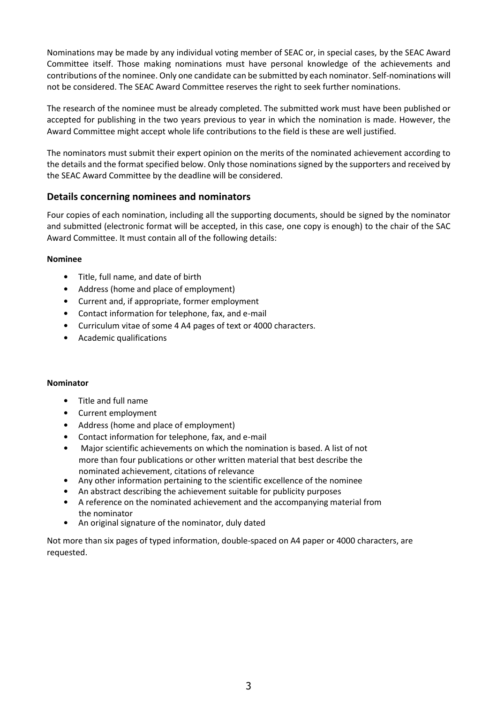Nominations may be made by any individual voting member of SEAC or, in special cases, by the SEAC Award Committee itself. Those making nominations must have personal knowledge of the achievements and contributions of the nominee. Only one candidate can be submitted by each nominator. Self-nominations will not be considered. The SEAC Award Committee reserves the right to seek further nominations.

The research of the nominee must be already completed. The submitted work must have been published or accepted for publishing in the two years previous to year in which the nomination is made. However, the Award Committee might accept whole life contributions to the field is these are well justified.

The nominators must submit their expert opinion on the merits of the nominated achievement according to the details and the format specified below. Only those nominations signed by the supporters and received by the SEAC Award Committee by the deadline will be considered.

## **Details concerning nominees and nominators**

Four copies of each nomination, including all the supporting documents, should be signed by the nominator and submitted (electronic format will be accepted, in this case, one copy is enough) to the chair of the SAC Award Committee. It must contain all of the following details:

#### **Nominee**

- Title, full name, and date of birth
- Address (home and place of employment)
- Current and, if appropriate, former employment
- Contact information for telephone, fax, and e-mail
- Curriculum vitae of some 4 A4 pages of text or 4000 characters.
- Academic qualifications

#### **Nominator**

- Title and full name
- Current employment
- Address (home and place of employment)
- Contact information for telephone, fax, and e-mail
- Major scientific achievements on which the nomination is based. A list of not more than four publications or other written material that best describe the nominated achievement, citations of relevance
- Any other information pertaining to the scientific excellence of the nominee
- An abstract describing the achievement suitable for publicity purposes
- A reference on the nominated achievement and the accompanying material from the nominator
- An original signature of the nominator, duly dated

Not more than six pages of typed information, double-spaced on A4 paper or 4000 characters, are requested.